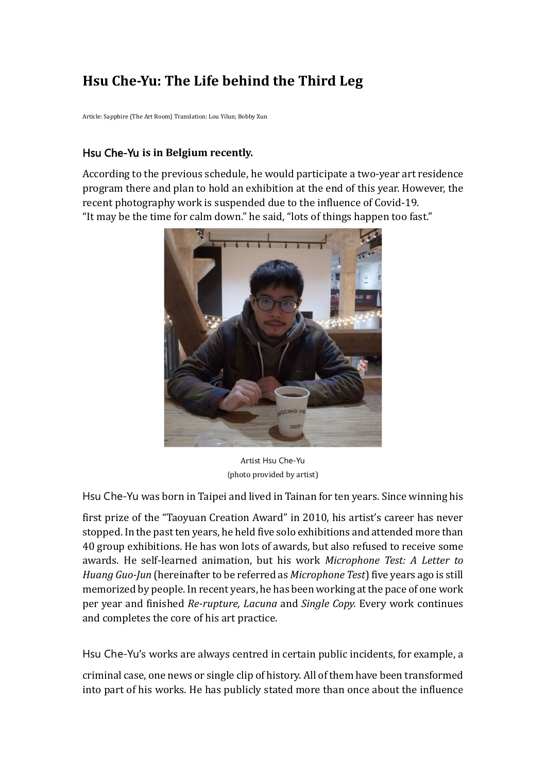# **Hsu Che-Yu: The Life behind the Third Leg**

Article: Sapphire (The Art Room) Translation: Lou Yilun; Bobby Xun

## Hsu Che-Yu **is in Belgium recently.**

According to the previous schedule, he would participate a two-year art residence program there and plan to hold an exhibition at the end of this year. However, the recent photography work is suspended due to the influence of Covid-19. "It may be the time for calm down." he said, "lots of things happen too fast."



Artist Hsu Che-Yu (photo provided by artist)

Hsu Che-Yu was born in Taipei and lived in Tainan for ten years. Since winning his

first prize of the "Taoyuan Creation Award" in 2010, his artist's career has never stopped. In the past ten years, he held five solo exhibitions and attended more than 40 group exhibitions. He has won lots of awards, but also refused to receive some awards. He self-learned animation, but his work *Microphone Test: A Letter to Huang Guo-Jun* (hereinafter to be referred as *Microphone Test*) five years ago is still memorized by people. In recent years, he has been working at the pace of one work per year and finished *Re-rupture, Lacuna* and *Single Copy.* Every work continues and completes the core of his art practice.

Hsu Che-Yu's works are always centred in certain public incidents, for example, a

criminal case, one news or single clip of history. All of them have been transformed into part of his works. He has publicly stated more than once about the influence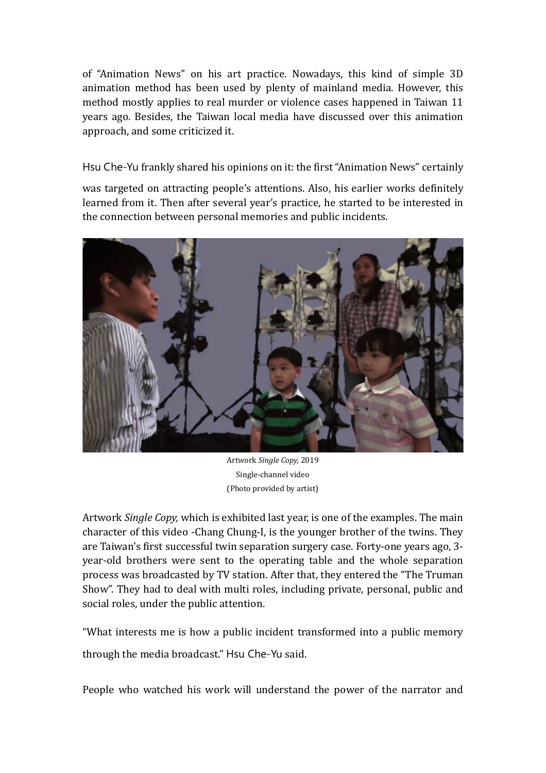of "Animation News" on his art practice. Nowadays, this kind of simple 3D animation method has been used by plenty of mainland media. However, this method mostly applies to real murder or violence cases happened in Taiwan 11 years ago. Besides, the Taiwan local media have discussed over this animation approach, and some criticized it.

Hsu Che-Yu frankly shared his opinions on it: the first "Animation News" certainly

was targeted on attracting people's attentions. Also, his earlier works definitely learned from it. Then after several year's practice, he started to be interested in the connection between personal memories and public incidents.



Artwork *Single Copy,* 2019 Single-channel video (Photo provided by artist)

Artwork *Single Copy,* which is exhibited last year, is one of the examples. The main character of this video -Chang Chung-I, is the younger brother of the twins. They are Taiwan's first successful twin separation surgery case. Forty-one years ago, 3 year-old brothers were sent to the operating table and the whole separation process was broadcasted by TV station. After that, they entered the "The Truman Show". They had to deal with multi roles, including private, personal, public and social roles, under the public attention.

"What interests me is how a public incident transformed into a public memory through the media broadcast." Hsu Che-Yu said.

People who watched his work will understand the power of the narrator and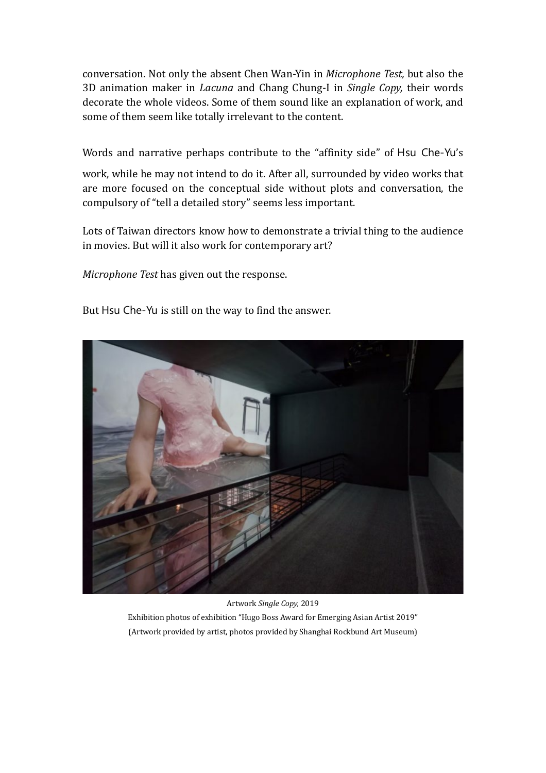conversation. Not only the absent Chen Wan-Yin in *Microphone Test,* but also the 3D animation maker in *Lacuna* and Chang Chung-I in *Single Copy,* their words decorate the whole videos. Some of them sound like an explanation of work, and some of them seem like totally irrelevant to the content.

Words and narrative perhaps contribute to the "affinity side" of Hsu Che-Yu's

work, while he may not intend to do it. After all, surrounded by video works that are more focused on the conceptual side without plots and conversation, the compulsory of "tell a detailed story" seems less important.

Lots of Taiwan directors know how to demonstrate a trivial thing to the audience in movies. But will it also work for contemporary art?

*Microphone Test* has given out the response.

But Hsu Che-Yu is still on the way to find the answer.



Artwork *Single Copy,* 2019 Exhibition photos of exhibition "Hugo Boss Award for Emerging Asian Artist 2019" (Artwork provided by artist, photos provided by Shanghai Rockbund Art Museum)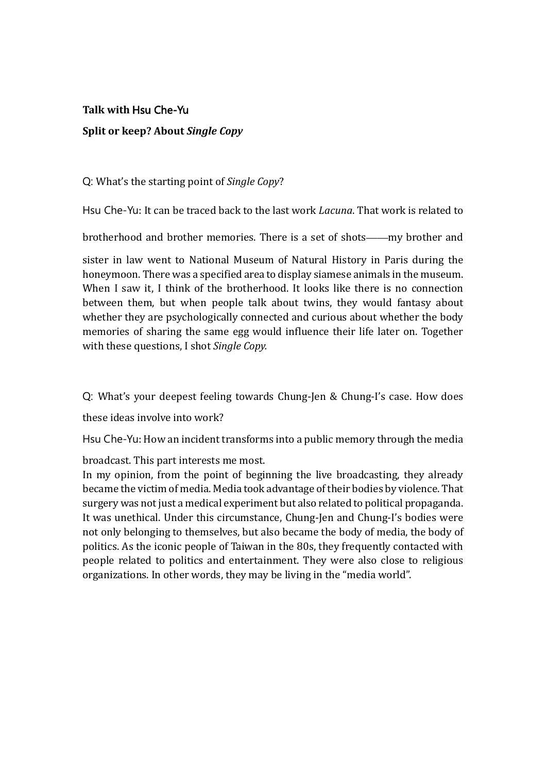## **Talk with** Hsu Che-Yu **Split or keep? About** *Single Copy*

Q: What's the starting point of *Single Copy*?

Hsu Che-Yu: It can be traced back to the last work *Lacuna*. That work is related to

brotherhood and brother memories. There is a set of shots——my brother and

sister in law went to National Museum of Natural History in Paris during the honeymoon. There was a specified area to display siamese animals in the museum. When I saw it, I think of the brotherhood. It looks like there is no connection between them, but when people talk about twins, they would fantasy about whether they are psychologically connected and curious about whether the body memories of sharing the same egg would influence their life later on. Together with these questions, I shot *Single Copy.*

Q: What's your deepest feeling towards Chung-Jen & Chung-I's case. How does

these ideas involve into work?

Hsu Che-Yu: How an incident transforms into a public memory through the media

broadcast. This part interests me most.

In my opinion, from the point of beginning the live broadcasting, they already became the victim of media. Media took advantage of their bodies by violence. That surgery was not just a medical experiment but also related to political propaganda. It was unethical. Under this circumstance, Chung-Jen and Chung-I's bodies were not only belonging to themselves, but also became the body of media, the body of politics. As the iconic people of Taiwan in the 80s, they frequently contacted with people related to politics and entertainment. They were also close to religious organizations. In other words, they may be living in the "media world".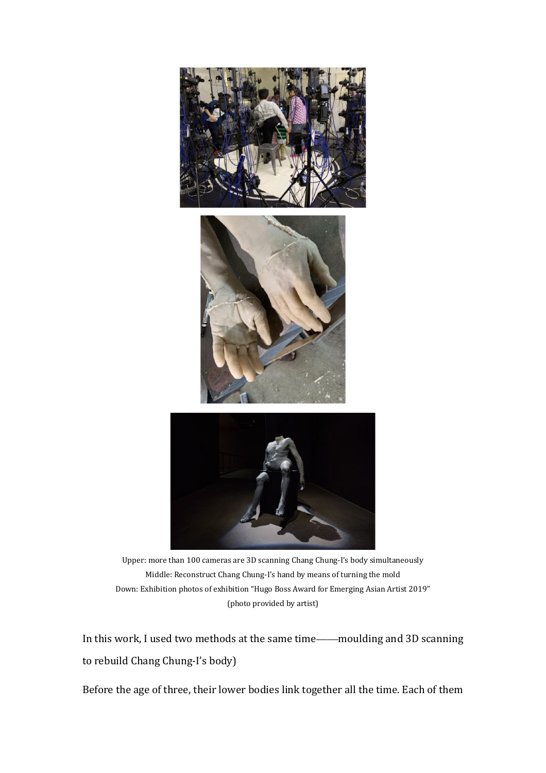

Upper: more than 100 cameras are 3D scanning Chang Chung-I's body simultaneously Middle: Reconstruct Chang Chung-I's hand by means of turning the mold Down: Exhibition photos of exhibition "Hugo Boss Award for Emerging Asian Artist 2019" (photo provided by artist)

In this work, I used two methods at the same time——moulding and 3D scanning to rebuild Chang Chung-I's body)

Before the age of three, their lower bodies link together all the time. Each of them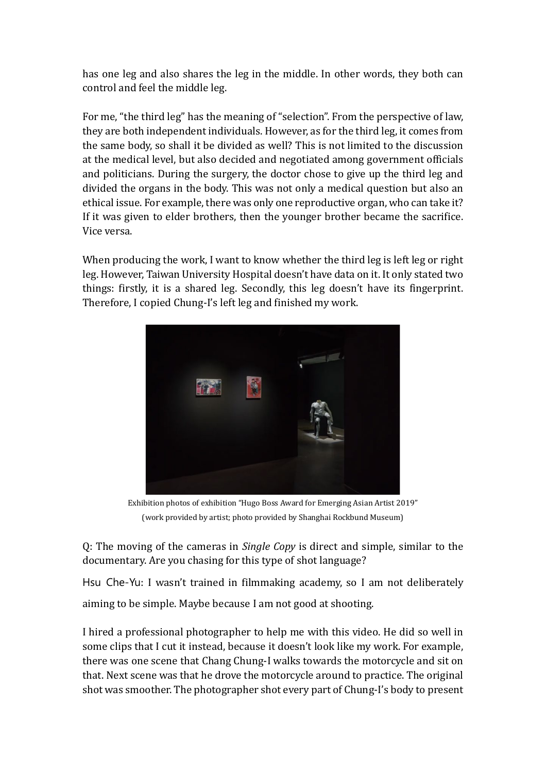has one leg and also shares the leg in the middle. In other words, they both can control and feel the middle leg.

For me, "the third leg" has the meaning of "selection". From the perspective of law, they are both independent individuals. However, as for the third leg, it comes from the same body, so shall it be divided as well? This is not limited to the discussion at the medical level, but also decided and negotiated among government officials and politicians. During the surgery, the doctor chose to give up the third leg and divided the organs in the body. This was not only a medical question but also an ethical issue. For example, there was only one reproductive organ, who can take it? If it was given to elder brothers, then the younger brother became the sacrifice. Vice versa.

When producing the work, I want to know whether the third leg is left leg or right leg. However, Taiwan University Hospital doesn't have data on it. It only stated two things: firstly, it is a shared leg. Secondly, this leg doesn't have its fingerprint. Therefore, I copied Chung-I's left leg and finished my work.



Exhibition photos of exhibition "Hugo Boss Award for Emerging Asian Artist 2019" (work provided by artist; photo provided by Shanghai Rockbund Museum)

Q: The moving of the cameras in *Single Copy* is direct and simple, similar to the documentary. Are you chasing for this type of shot language?

Hsu Che-Yu: I wasn't trained in filmmaking academy, so I am not deliberately aiming to be simple. Maybe because I am not good at shooting.

I hired a professional photographer to help me with this video. He did so well in some clips that I cut it instead, because it doesn't look like my work. For example, there was one scene that Chang Chung-I walks towards the motorcycle and sit on that. Next scene was that he drove the motorcycle around to practice. The original shot was smoother. The photographer shot every part of Chung-I's body to present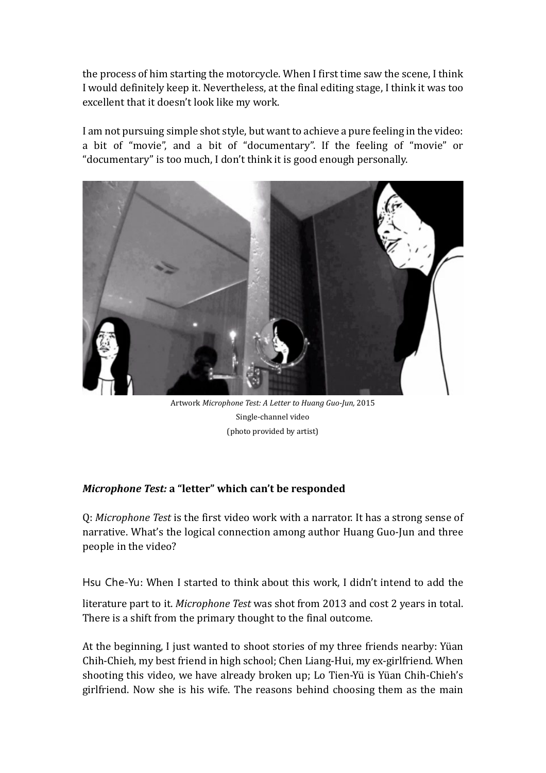the process of him starting the motorcycle. When I first time saw the scene, I think I would definitely keep it. Nevertheless, at the final editing stage, I think it was too excellent that it doesn't look like my work.

I am not pursuing simple shot style, but want to achieve a pure feeling in the video: a bit of "movie", and a bit of "documentary". If the feeling of "movie" or "documentary" is too much, I don't think it is good enough personally.



Artwork *Microphone Test: A Letter to Huang Guo-Jun,* 2015 Single-channel video (photo provided by artist)

## *Microphone Test:* **a "letter" which can't be responded**

Q: *Microphone Test* is the first video work with a narrator. It has a strong sense of narrative. What's the logical connection among author Huang Guo-Jun and three people in the video?

Hsu Che-Yu: When I started to think about this work, I didn't intend to add the literature part to it. *Microphone Test* was shot from 2013 and cost 2 years in total. There is a shift from the primary thought to the final outcome.

At the beginning, I just wanted to shoot stories of my three friends nearby: Yüan Chih-Chieh, my best friend in high school; Chen Liang-Hui, my ex-girlfriend. When shooting this video, we have already broken up; Lo Tien-Yü is Yüan Chih-Chieh's girlfriend. Now she is his wife. The reasons behind choosing them as the main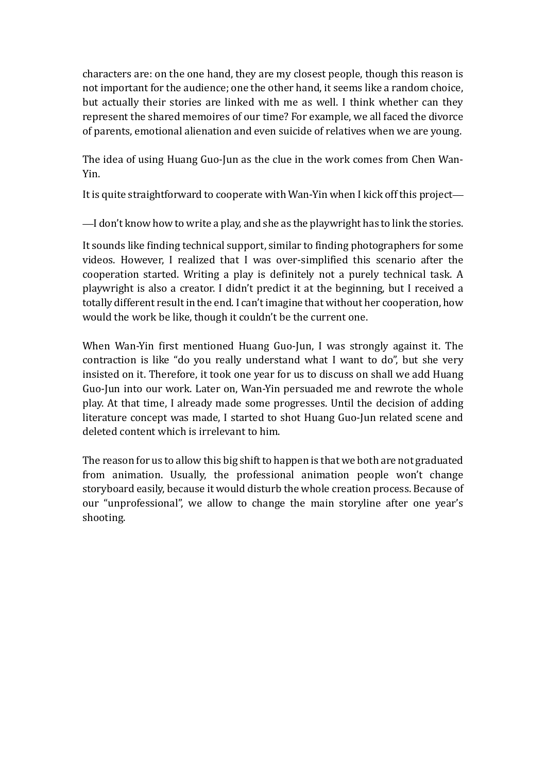characters are: on the one hand, they are my closest people, though this reason is not important for the audience; one the other hand, it seems like a random choice, but actually their stories are linked with me as well. I think whether can they represent the shared memoires of our time? For example, we all faced the divorce of parents, emotional alienation and even suicide of relatives when we are young.

The idea of using Huang Guo-Jun as the clue in the work comes from Chen Wan-Yin.

It is quite straightforward to cooperate with Wan-Yin when I kick off this project—

—I don't know how to write a play, and she as the playwright has to link the stories.

It sounds like finding technical support, similar to finding photographers for some videos. However, I realized that I was over-simplified this scenario after the cooperation started. Writing a play is definitely not a purely technical task. A playwright is also a creator. I didn't predict it at the beginning, but I received a totally different result in the end. I can't imagine that without her cooperation, how would the work be like, though it couldn't be the current one.

When Wan-Yin first mentioned Huang Guo-Jun, I was strongly against it. The contraction is like "do you really understand what I want to do", but she very insisted on it. Therefore, it took one year for us to discuss on shall we add Huang Guo-Jun into our work. Later on, Wan-Yin persuaded me and rewrote the whole play. At that time, I already made some progresses. Until the decision of adding literature concept was made, I started to shot Huang Guo-Jun related scene and deleted content which is irrelevant to him.

The reason for us to allow this big shift to happen is that we both are not graduated from animation. Usually, the professional animation people won't change storyboard easily, because it would disturb the whole creation process. Because of our "unprofessional", we allow to change the main storyline after one year's shooting.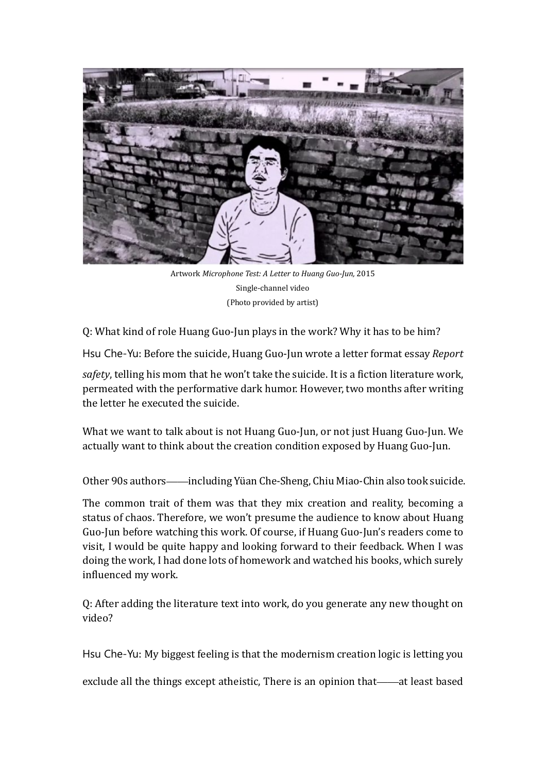

Artwork *Microphone Test: A Letter to Huang Guo-Jun,* 2015 Single-channel video (Photo provided by artist)

Q: What kind of role Huang Guo-Jun plays in the work? Why it has to be him?

Hsu Che-Yu: Before the suicide, Huang Guo-Jun wrote a letter format essay *Report* 

*safety*, telling his mom that he won't take the suicide. It is a fiction literature work, permeated with the performative dark humor. However, two months after writing the letter he executed the suicide.

What we want to talk about is not Huang Guo-Jun, or not just Huang Guo-Jun. We actually want to think about the creation condition exposed by Huang Guo-Jun.

Other 90s authors——including Yü an Che-Sheng, Chiu Miao-Chin also took suicide.

The common trait of them was that they mix creation and reality, becoming a status of chaos. Therefore, we won't presume the audience to know about Huang Guo-Jun before watching this work. Of course, if Huang Guo-Jun's readers come to visit, I would be quite happy and looking forward to their feedback. When I was doing the work, I had done lots of homework and watched his books, which surely influenced my work.

Q: After adding the literature text into work, do you generate any new thought on video?

Hsu Che-Yu: My biggest feeling is that the modernism creation logic is letting you

exclude all the things except atheistic, There is an opinion that——at least based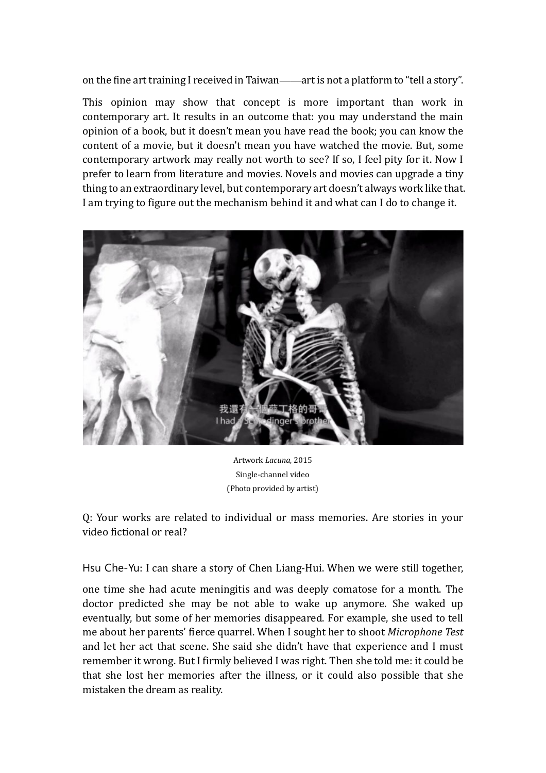on the fine art training I received in Taiwan——art is not a platform to "tell a story".

This opinion may show that concept is more important than work in contemporary art. It results in an outcome that: you may understand the main opinion of a book, but it doesn't mean you have read the book; you can know the content of a movie, but it doesn't mean you have watched the movie. But, some contemporary artwork may really not worth to see? If so, I feel pity for it. Now I prefer to learn from literature and movies. Novels and movies can upgrade a tiny thing to an extraordinary level, but contemporary art doesn't always work like that. I am trying to figure out the mechanism behind it and what can I do to change it.



Artwork *Lacuna,* 2015 Single-channel video (Photo provided by artist)

Q: Your works are related to individual or mass memories. Are stories in your video fictional or real?

Hsu Che-Yu: I can share a story of Chen Liang-Hui. When we were still together,

one time she had acute meningitis and was deeply comatose for a month. The doctor predicted she may be not able to wake up anymore. She waked up eventually, but some of her memories disappeared. For example, she used to tell me about her parents' fierce quarrel. When I sought her to shoot *Microphone Test* and let her act that scene. She said she didn't have that experience and I must remember it wrong. But I firmly believed I was right. Then she told me: it could be that she lost her memories after the illness, or it could also possible that she mistaken the dream as reality.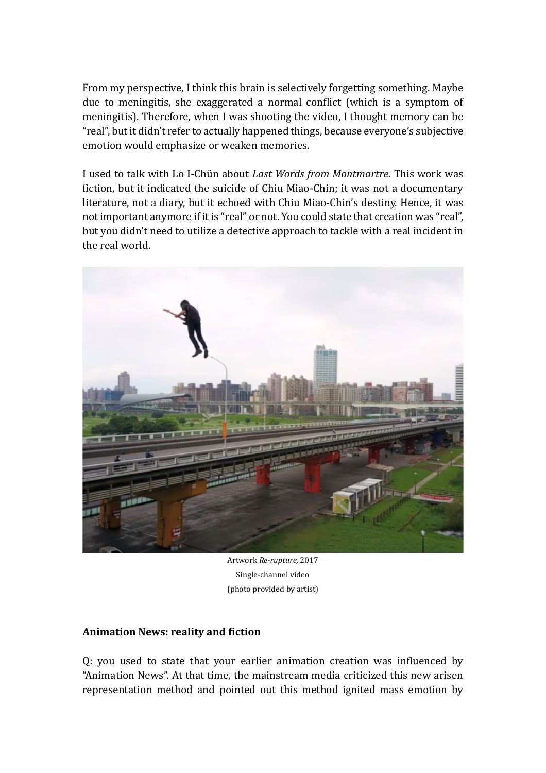From my perspective, I think this brain is selectively forgetting something. Maybe due to meningitis, she exaggerated a normal conflict (which is a symptom of meningitis). Therefore, when I was shooting the video, I thought memory can be "real", but it didn't refer to actually happened things, because everyone's subjective emotion would emphasize or weaken memories.

I used to talk with Lo I-Chün about *Last Words from Montmartre*. This work was fiction, but it indicated the suicide of Chiu Miao-Chin; it was not a documentary literature, not a diary, but it echoed with Chiu Miao-Chin's destiny. Hence, it was not important anymore if it is "real" or not. You could state that creation was "real", but you didn't need to utilize a detective approach to tackle with a real incident in the real world.



Artwork *Re-rupture,* 2017 Single-channel video (photo provided by artist)

### **Animation News: reality and fiction**

Q: you used to state that your earlier animation creation was influenced by "Animation News". At that time, the mainstream media criticized this new arisen representation method and pointed out this method ignited mass emotion by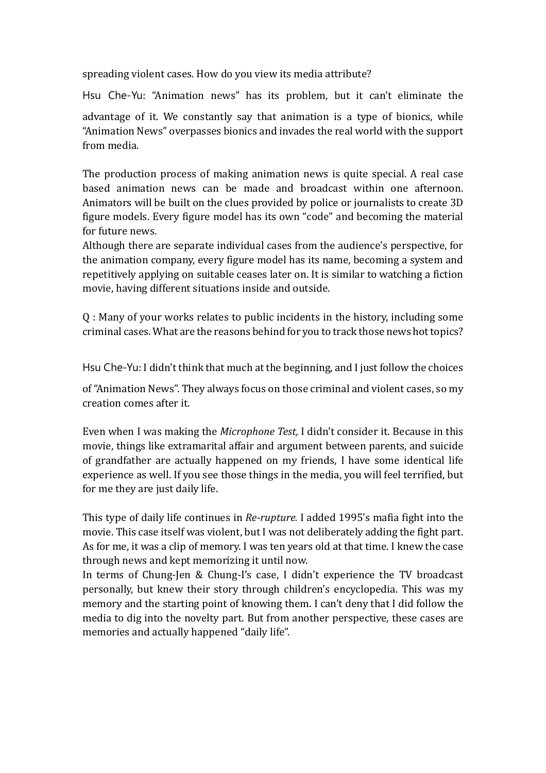spreading violent cases. How do you view its media attribute?

Hsu Che-Yu: "Animation news" has its problem, but it can't eliminate the

advantage of it. We constantly say that animation is a type of bionics, while "Animation News" overpasses bionics and invades the real world with the support from media.

The production process of making animation news is quite special. A real case based animation news can be made and broadcast within one afternoon. Animators will be built on the clues provided by police or journalists to create 3D figure models. Every figure model has its own "code" and becoming the material for future news.

Although there are separate individual cases from the audience's perspective, for the animation company, every figure model has its name, becoming a system and repetitively applying on suitable ceases later on. It is similar to watching a fiction movie, having different situations inside and outside.

Q : Many of your works relates to public incidents in the history, including some criminal cases. What are the reasons behind for you to track those news hot topics?

Hsu Che-Yu: I didn't think that much at the beginning, and I just follow the choices

of "Animation News". They always focus on those criminal and violent cases, so my creation comes after it.

Even when I was making the *Microphone Test,* I didn't consider it. Because in this movie, things like extramarital affair and argument between parents, and suicide of grandfather are actually happened on my friends, I have some identical life experience as well. If you see those things in the media, you will feel terrified, but for me they are just daily life.

This type of daily life continues in *Re-rupture.* I added 1995's mafia fight into the movie. This case itself was violent, but I was not deliberately adding the fight part. As for me, it was a clip of memory. I was ten years old at that time. I knew the case through news and kept memorizing it until now.

In terms of Chung-Jen & Chung-I's case, I didn't experience the TV broadcast personally, but knew their story through children's encyclopedia. This was my memory and the starting point of knowing them. I can't deny that I did follow the media to dig into the novelty part. But from another perspective, these cases are memories and actually happened "daily life".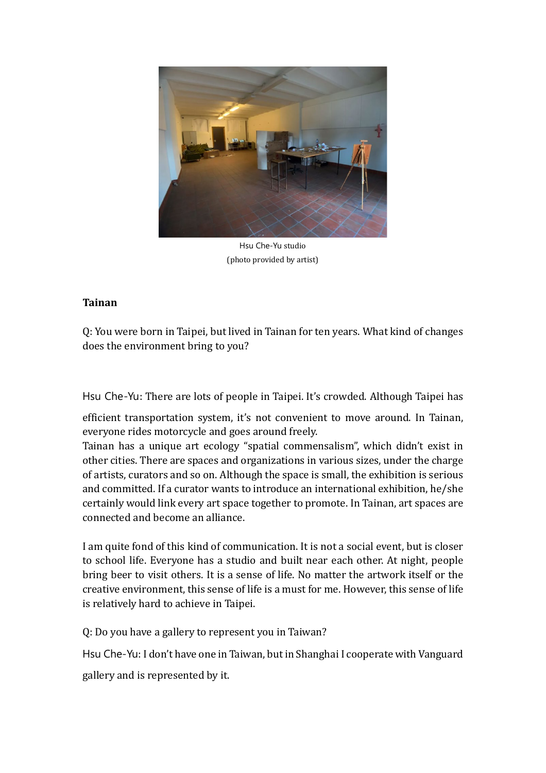

Hsu Che-Yu studio (photo provided by artist)

### **Tainan**

Q: You were born in Taipei, but lived in Tainan for ten years. What kind of changes does the environment bring to you?

Hsu Che-Yu: There are lots of people in Taipei. It's crowded. Although Taipei has

efficient transportation system, it's not convenient to move around. In Tainan, everyone rides motorcycle and goes around freely.

Tainan has a unique art ecology "spatial commensalism", which didn't exist in other cities. There are spaces and organizations in various sizes, under the charge of artists, curators and so on. Although the space is small, the exhibition is serious and committed. If a curator wants to introduce an international exhibition, he/she certainly would link every art space together to promote. In Tainan, art spaces are connected and become an alliance.

I am quite fond of this kind of communication. It is not a social event, but is closer to school life. Everyone has a studio and built near each other. At night, people bring beer to visit others. It is a sense of life. No matter the artwork itself or the creative environment, this sense of life is a must for me. However, this sense of life is relatively hard to achieve in Taipei.

Q: Do you have a gallery to represent you in Taiwan?

Hsu Che-Yu: I don't have one in Taiwan, but in Shanghai I cooperate with Vanguard

gallery and is represented by it.